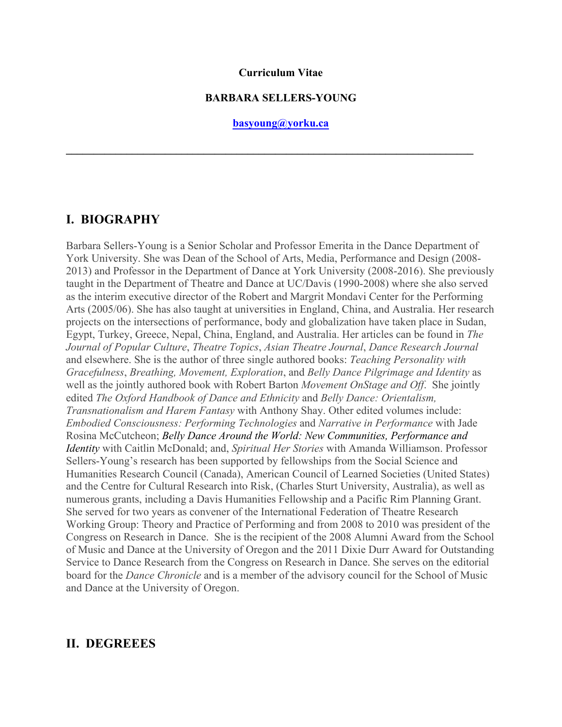#### **Curriculum Vitae**

#### **BARBARA SELLERS-YOUNG**

**basyoung@yorku.ca**

 $\mathcal{L}_\mathcal{L} = \{ \mathcal{L}_\mathcal{L} = \{ \mathcal{L}_\mathcal{L} = \{ \mathcal{L}_\mathcal{L} = \{ \mathcal{L}_\mathcal{L} = \{ \mathcal{L}_\mathcal{L} = \{ \mathcal{L}_\mathcal{L} = \{ \mathcal{L}_\mathcal{L} = \{ \mathcal{L}_\mathcal{L} = \{ \mathcal{L}_\mathcal{L} = \{ \mathcal{L}_\mathcal{L} = \{ \mathcal{L}_\mathcal{L} = \{ \mathcal{L}_\mathcal{L} = \{ \mathcal{L}_\mathcal{L} = \{ \mathcal{L}_\mathcal{$ 

### **I. BIOGRAPHY**

Barbara Sellers-Young is a Senior Scholar and Professor Emerita in the Dance Department of York University. She was Dean of the School of Arts, Media, Performance and Design (2008- 2013) and Professor in the Department of Dance at York University (2008-2016). She previously taught in the Department of Theatre and Dance at UC/Davis (1990-2008) where she also served as the interim executive director of the Robert and Margrit Mondavi Center for the Performing Arts (2005/06). She has also taught at universities in England, China, and Australia. Her research projects on the intersections of performance, body and globalization have taken place in Sudan, Egypt, Turkey, Greece, Nepal, China, England, and Australia. Her articles can be found in *The Journal of Popular Culture*, *Theatre Topics*, *Asian Theatre Journal*, *Dance Research Journal* and elsewhere. She is the author of three single authored books: *Teaching Personality with Gracefulness*, *Breathing, Movement, Exploration*, and *Belly Dance Pilgrimage and Identity* as well as the jointly authored book with Robert Barton *Movement OnStage and Off*. She jointly edited *The Oxford Handbook of Dance and Ethnicity* and *Belly Dance: Orientalism, Transnationalism and Harem Fantasy* with Anthony Shay. Other edited volumes include: *Embodied Consciousness: Performing Technologies* and *Narrative in Performance* with Jade Rosina McCutcheon; *Belly Dance Around the World: New Communities, Performance and Identity* with Caitlin McDonald; and, *Spiritual Her Stories* with Amanda Williamson. Professor Sellers-Young's research has been supported by fellowships from the Social Science and Humanities Research Council (Canada), American Council of Learned Societies (United States) and the Centre for Cultural Research into Risk, (Charles Sturt University, Australia), as well as numerous grants, including a Davis Humanities Fellowship and a Pacific Rim Planning Grant. She served for two years as convener of the International Federation of Theatre Research Working Group: Theory and Practice of Performing and from 2008 to 2010 was president of the Congress on Research in Dance. She is the recipient of the 2008 Alumni Award from the School of Music and Dance at the University of Oregon and the 2011 Dixie Durr Award for Outstanding Service to Dance Research from the Congress on Research in Dance. She serves on the editorial board for the *Dance Chronicle* and is a member of the advisory council for the School of Music and Dance at the University of Oregon.

### **II. DEGREEES**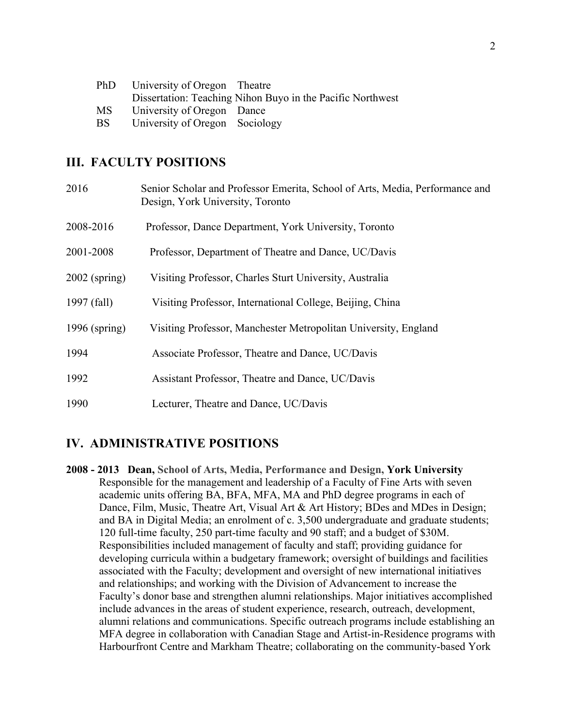| PhD. | University of Oregon Theatre   |                                                            |
|------|--------------------------------|------------------------------------------------------------|
|      |                                | Dissertation: Teaching Nihon Buyo in the Pacific Northwest |
| MS.  | University of Oregon Dance     |                                                            |
| BS.  | University of Oregon Sociology |                                                            |

### **III. FACULTY POSITIONS**

| 2016            | Senior Scholar and Professor Emerita, School of Arts, Media, Performance and<br>Design, York University, Toronto |
|-----------------|------------------------------------------------------------------------------------------------------------------|
| 2008-2016       | Professor, Dance Department, York University, Toronto                                                            |
| 2001-2008       | Professor, Department of Theatre and Dance, UC/Davis                                                             |
| $2002$ (spring) | Visiting Professor, Charles Sturt University, Australia                                                          |
| 1997 (fall)     | Visiting Professor, International College, Beijing, China                                                        |
| 1996 (spring)   | Visiting Professor, Manchester Metropolitan University, England                                                  |
| 1994            | Associate Professor, Theatre and Dance, UC/Davis                                                                 |
| 1992            | Assistant Professor, Theatre and Dance, UC/Davis                                                                 |
| 1990            | Lecturer, Theatre and Dance, UC/Davis                                                                            |

# **IV. ADMINISTRATIVE POSITIONS**

**2008 - 2013 Dean, School of Arts, Media, Performance and Design, York University** Responsible for the management and leadership of a Faculty of Fine Arts with seven academic units offering BA, BFA, MFA, MA and PhD degree programs in each of Dance, Film, Music, Theatre Art, Visual Art & Art History; BDes and MDes in Design; and BA in Digital Media; an enrolment of c. 3,500 undergraduate and graduate students; 120 full-time faculty, 250 part-time faculty and 90 staff; and a budget of \$30M. Responsibilities included management of faculty and staff; providing guidance for developing curricula within a budgetary framework; oversight of buildings and facilities associated with the Faculty; development and oversight of new international initiatives and relationships; and working with the Division of Advancement to increase the Faculty's donor base and strengthen alumni relationships. Major initiatives accomplished include advances in the areas of student experience, research, outreach, development, alumni relations and communications. Specific outreach programs include establishing an MFA degree in collaboration with Canadian Stage and Artist-in-Residence programs with Harbourfront Centre and Markham Theatre; collaborating on the community-based York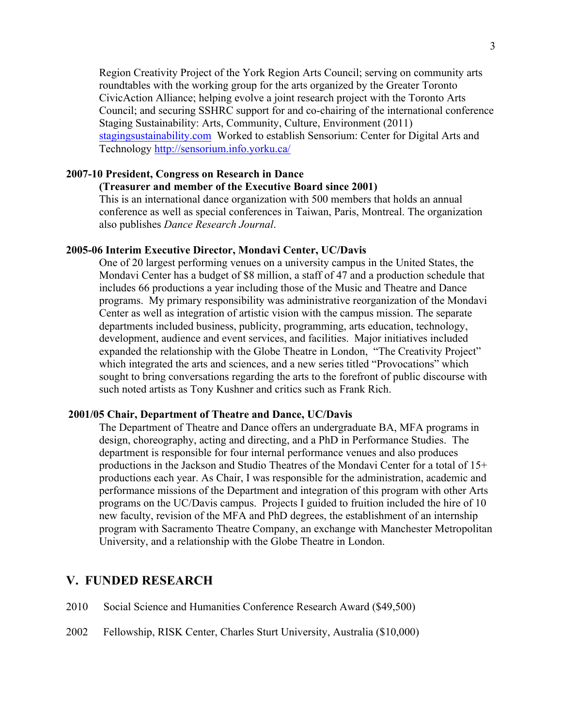Region Creativity Project of the York Region Arts Council; serving on community arts roundtables with the working group for the arts organized by the Greater Toronto CivicAction Alliance; helping evolve a joint research project with the Toronto Arts Council; and securing SSHRC support for and co-chairing of the international conference Staging Sustainability: Arts, Community, Culture, Environment (2011) stagingsustainability.com Worked to establish Sensorium: Center for Digital Arts and Technology http://sensorium.info.yorku.ca/

#### **2007-10 President, Congress on Research in Dance**

### **(Treasurer and member of the Executive Board since 2001)**

This is an international dance organization with 500 members that holds an annual conference as well as special conferences in Taiwan, Paris, Montreal. The organization also publishes *Dance Research Journal*.

#### **2005-06 Interim Executive Director, Mondavi Center, UC/Davis**

One of 20 largest performing venues on a university campus in the United States, the Mondavi Center has a budget of \$8 million, a staff of 47 and a production schedule that includes 66 productions a year including those of the Music and Theatre and Dance programs. My primary responsibility was administrative reorganization of the Mondavi Center as well as integration of artistic vision with the campus mission. The separate departments included business, publicity, programming, arts education, technology, development, audience and event services, and facilities. Major initiatives included expanded the relationship with the Globe Theatre in London, "The Creativity Project" which integrated the arts and sciences, and a new series titled "Provocations" which sought to bring conversations regarding the arts to the forefront of public discourse with such noted artists as Tony Kushner and critics such as Frank Rich.

#### **2001/05 Chair, Department of Theatre and Dance, UC/Davis**

The Department of Theatre and Dance offers an undergraduate BA, MFA programs in design, choreography, acting and directing, and a PhD in Performance Studies. The department is responsible for four internal performance venues and also produces productions in the Jackson and Studio Theatres of the Mondavi Center for a total of 15+ productions each year. As Chair, I was responsible for the administration, academic and performance missions of the Department and integration of this program with other Arts programs on the UC/Davis campus. Projects I guided to fruition included the hire of 10 new faculty, revision of the MFA and PhD degrees, the establishment of an internship program with Sacramento Theatre Company, an exchange with Manchester Metropolitan University, and a relationship with the Globe Theatre in London.

#### **V. FUNDED RESEARCH**

- 2010 Social Science and Humanities Conference Research Award (\$49,500)
- 2002 Fellowship, RISK Center, Charles Sturt University, Australia (\$10,000)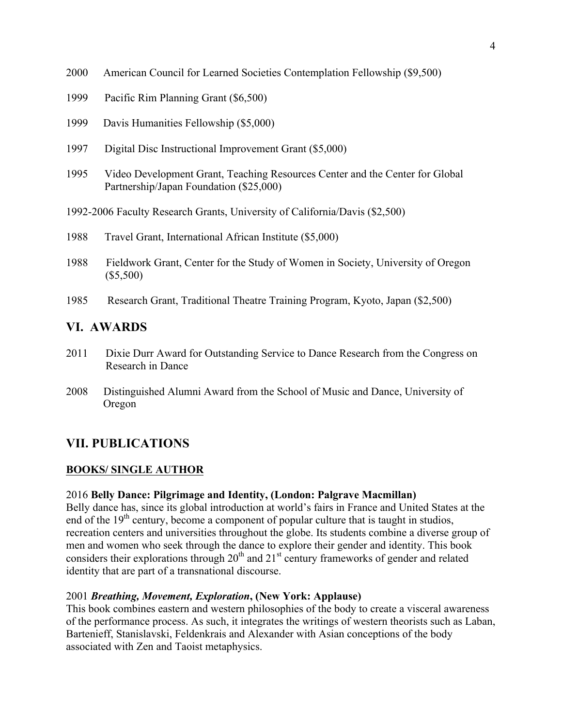- 2000 American Council for Learned Societies Contemplation Fellowship (\$9,500)
- 1999 Pacific Rim Planning Grant (\$6,500)
- 1999 Davis Humanities Fellowship (\$5,000)
- 1997 Digital Disc Instructional Improvement Grant (\$5,000)
- 1995 Video Development Grant, Teaching Resources Center and the Center for Global Partnership/Japan Foundation (\$25,000)
- 1992-2006 Faculty Research Grants, University of California/Davis (\$2,500)
- 1988 Travel Grant, International African Institute (\$5,000)
- 1988 Fieldwork Grant, Center for the Study of Women in Society, University of Oregon (\$5,500)
- 1985 Research Grant, Traditional Theatre Training Program, Kyoto, Japan (\$2,500)

# **VI. AWARDS**

- 2011 Dixie Durr Award for Outstanding Service to Dance Research from the Congress on Research in Dance
- 2008 Distinguished Alumni Award from the School of Music and Dance, University of Oregon

# **VII. PUBLICATIONS**

### **BOOKS/ SINGLE AUTHOR**

### 2016 **Belly Dance: Pilgrimage and Identity, (London: Palgrave Macmillan)**

Belly dance has, since its global introduction at world's fairs in France and United States at the end of the  $19<sup>th</sup>$  century, become a component of popular culture that is taught in studios, recreation centers and universities throughout the globe. Its students combine a diverse group of men and women who seek through the dance to explore their gender and identity. This book considers their explorations through 20<sup>th</sup> and 21<sup>st</sup> century frameworks of gender and related identity that are part of a transnational discourse.

### 2001 *Breathing, Movement, Exploration***, (New York: Applause)**

This book combines eastern and western philosophies of the body to create a visceral awareness of the performance process. As such, it integrates the writings of western theorists such as Laban, Bartenieff, Stanislavski, Feldenkrais and Alexander with Asian conceptions of the body associated with Zen and Taoist metaphysics.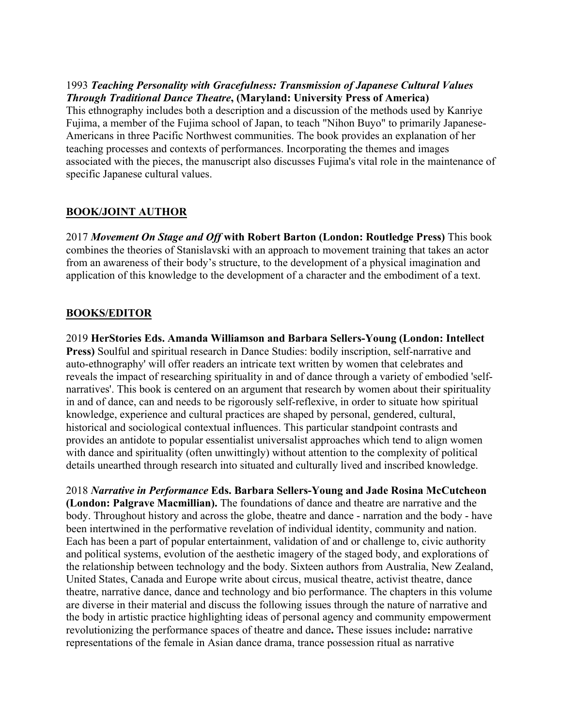### 1993 *Teaching Personality with Gracefulness: Transmission of Japanese Cultural Values Through Traditional Dance Theatre***, (Maryland: University Press of America)**

This ethnography includes both a description and a discussion of the methods used by Kanriye Fujima, a member of the Fujima school of Japan, to teach "Nihon Buyo" to primarily Japanese-Americans in three Pacific Northwest communities. The book provides an explanation of her teaching processes and contexts of performances. Incorporating the themes and images associated with the pieces, the manuscript also discusses Fujima's vital role in the maintenance of specific Japanese cultural values.

# **BOOK/JOINT AUTHOR**

2017 *Movement On Stage and Off* **with Robert Barton (London: Routledge Press)** This book combines the theories of Stanislavski with an approach to movement training that takes an actor from an awareness of their body's structure, to the development of a physical imagination and application of this knowledge to the development of a character and the embodiment of a text.

# **BOOKS/EDITOR**

2019 **HerStories Eds. Amanda Williamson and Barbara Sellers-Young (London: Intellect Press)** Soulful and spiritual research in Dance Studies: bodily inscription, self-narrative and auto-ethnography' will offer readers an intricate text written by women that celebrates and reveals the impact of researching spirituality in and of dance through a variety of embodied 'selfnarratives'. This book is centered on an argument that research by women about their spirituality in and of dance, can and needs to be rigorously self-reflexive, in order to situate how spiritual knowledge, experience and cultural practices are shaped by personal, gendered, cultural, historical and sociological contextual influences. This particular standpoint contrasts and provides an antidote to popular essentialist universalist approaches which tend to align women with dance and spirituality (often unwittingly) without attention to the complexity of political details unearthed through research into situated and culturally lived and inscribed knowledge.

2018 *Narrative in Performance* **Eds. Barbara Sellers-Young and Jade Rosina McCutcheon (London: Palgrave Macmillian).** The foundations of dance and theatre are narrative and the body. Throughout history and across the globe, theatre and dance - narration and the body - have been intertwined in the performative revelation of individual identity, community and nation. Each has been a part of popular entertainment, validation of and or challenge to, civic authority and political systems, evolution of the aesthetic imagery of the staged body, and explorations of the relationship between technology and the body. Sixteen authors from Australia, New Zealand, United States, Canada and Europe write about circus, musical theatre, activist theatre, dance theatre, narrative dance, dance and technology and bio performance. The chapters in this volume are diverse in their material and discuss the following issues through the nature of narrative and the body in artistic practice highlighting ideas of personal agency and community empowerment revolutionizing the performance spaces of theatre and dance**.** These issues include**:** narrative representations of the female in Asian dance drama, trance possession ritual as narrative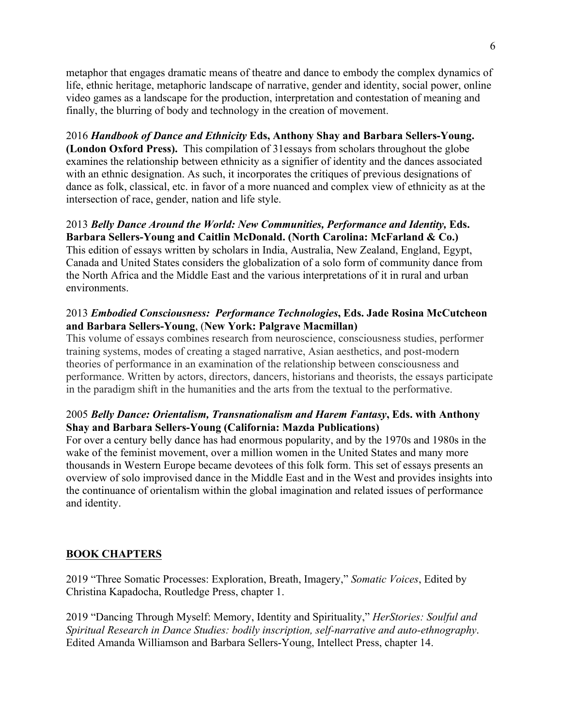metaphor that engages dramatic means of theatre and dance to embody the complex dynamics of life, ethnic heritage, metaphoric landscape of narrative, gender and identity, social power, online video games as a landscape for the production, interpretation and contestation of meaning and finally, the blurring of body and technology in the creation of movement.

2016 *Handbook of Dance and Ethnicity* **Eds, Anthony Shay and Barbara Sellers-Young. (London Oxford Press).** This compilation of 31essays from scholars throughout the globe examines the relationship between ethnicity as a signifier of identity and the dances associated with an ethnic designation. As such, it incorporates the critiques of previous designations of dance as folk, classical, etc. in favor of a more nuanced and complex view of ethnicity as at the intersection of race, gender, nation and life style.

2013 *Belly Dance Around the World: New Communities, Performance and Identity,* **Eds. Barbara Sellers-Young and Caitlin McDonald. (North Carolina: McFarland & Co.)** This edition of essays written by scholars in India, Australia, New Zealand, England, Egypt, Canada and United States considers the globalization of a solo form of community dance from the North Africa and the Middle East and the various interpretations of it in rural and urban environments.

### 2013 *Embodied Consciousness: Performance Technologies***, Eds. Jade Rosina McCutcheon and Barbara Sellers-Young**, (**New York: Palgrave Macmillan)**

This volume of essays combines research from neuroscience, consciousness studies, performer training systems, modes of creating a staged narrative, Asian aesthetics, and post-modern theories of performance in an examination of the relationship between consciousness and performance. Written by actors, directors, dancers, historians and theorists, the essays participate in the paradigm shift in the humanities and the arts from the textual to the performative.

### 2005 *Belly Dance: Orientalism, Transnationalism and Harem Fantasy***, Eds. with Anthony Shay and Barbara Sellers-Young (California: Mazda Publications)**

For over a century belly dance has had enormous popularity, and by the 1970s and 1980s in the wake of the feminist movement, over a million women in the United States and many more thousands in Western Europe became devotees of this folk form. This set of essays presents an overview of solo improvised dance in the Middle East and in the West and provides insights into the continuance of orientalism within the global imagination and related issues of performance and identity.

### **BOOK CHAPTERS**

2019 "Three Somatic Processes: Exploration, Breath, Imagery," *Somatic Voices*, Edited by Christina Kapadocha, Routledge Press, chapter 1.

2019 "Dancing Through Myself: Memory, Identity and Spirituality," *HerStories: Soulful and Spiritual Research in Dance Studies: bodily inscription, self-narrative and auto-ethnography*. Edited Amanda Williamson and Barbara Sellers-Young, Intellect Press, chapter 14.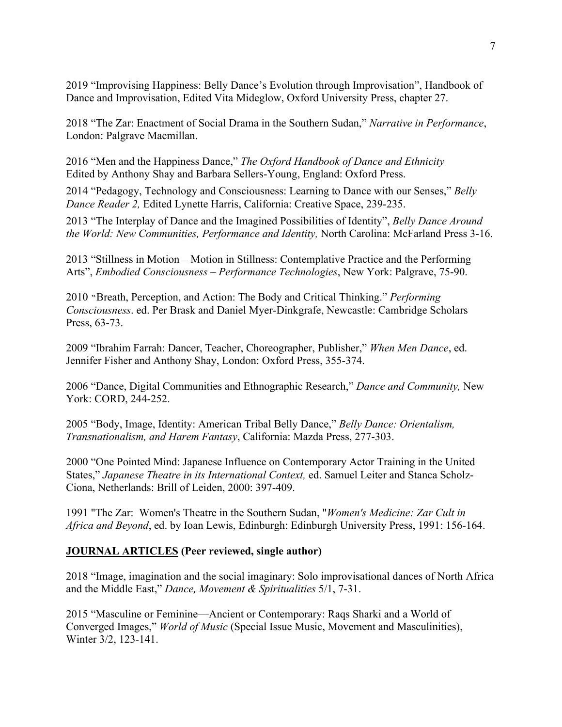2019 "Improvising Happiness: Belly Dance's Evolution through Improvisation", Handbook of Dance and Improvisation, Edited Vita Mideglow, Oxford University Press, chapter 27.

2018 "The Zar: Enactment of Social Drama in the Southern Sudan," *Narrative in Performance*, London: Palgrave Macmillan.

2016 "Men and the Happiness Dance," *The Oxford Handbook of Dance and Ethnicity* Edited by Anthony Shay and Barbara Sellers-Young, England: Oxford Press.

2014 "Pedagogy, Technology and Consciousness: Learning to Dance with our Senses," *Belly Dance Reader 2,* Edited Lynette Harris, California: Creative Space, 239-235.

2013 "The Interplay of Dance and the Imagined Possibilities of Identity", *Belly Dance Around the World: New Communities, Performance and Identity,* North Carolina: McFarland Press 3-16.

2013 "Stillness in Motion – Motion in Stillness: Contemplative Practice and the Performing Arts", *Embodied Consciousness* – *Performance Technologies*, New York: Palgrave, 75-90.

2010 "Breath, Perception, and Action: The Body and Critical Thinking." *Performing Consciousness*. ed. Per Brask and Daniel Myer-Dinkgrafe, Newcastle: Cambridge Scholars Press, 63-73.

2009 "Ibrahim Farrah: Dancer, Teacher, Choreographer, Publisher," *When Men Dance*, ed. Jennifer Fisher and Anthony Shay, London: Oxford Press, 355-374.

2006 "Dance, Digital Communities and Ethnographic Research," *Dance and Community,* New York: CORD, 244-252.

2005 "Body, Image, Identity: American Tribal Belly Dance," *Belly Dance: Orientalism, Transnationalism, and Harem Fantasy*, California: Mazda Press, 277-303.

2000 "One Pointed Mind: Japanese Influence on Contemporary Actor Training in the United States," *Japanese Theatre in its International Context,* ed. Samuel Leiter and Stanca Scholz-Ciona, Netherlands: Brill of Leiden, 2000: 397-409.

1991 "The Zar: Women's Theatre in the Southern Sudan, "*Women's Medicine: Zar Cult in Africa and Beyond*, ed. by Ioan Lewis, Edinburgh: Edinburgh University Press, 1991: 156-164.

# **JOURNAL ARTICLES (Peer reviewed, single author)**

2018 "Image, imagination and the social imaginary: Solo improvisational dances of North Africa and the Middle East," *Dance, Movement & Spiritualities* 5/1, 7-31.

2015 "Masculine or Feminine—Ancient or Contemporary: Raqs Sharki and a World of Converged Images," *World of Music* (Special Issue Music, Movement and Masculinities), Winter 3/2, 123-141.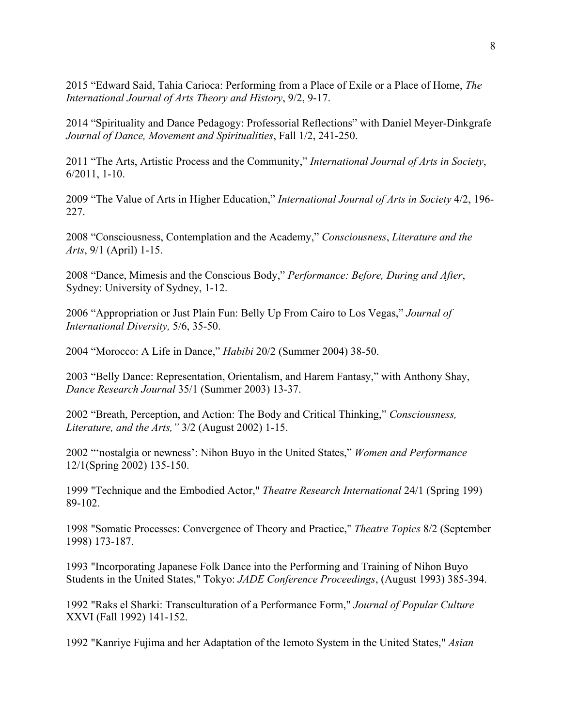2015 "Edward Said, Tahia Carioca: Performing from a Place of Exile or a Place of Home, *The International Journal of Arts Theory and History*, 9/2, 9-17.

2014 "Spirituality and Dance Pedagogy: Professorial Reflections" with Daniel Meyer-Dinkgrafe *Journal of Dance, Movement and Spiritualities*, Fall 1/2, 241-250.

2011 "The Arts, Artistic Process and the Community," *International Journal of Arts in Society*, 6/2011, 1-10.

2009 "The Value of Arts in Higher Education," *International Journal of Arts in Society* 4/2, 196- 227.

2008 "Consciousness, Contemplation and the Academy," *Consciousness*, *Literature and the Arts*, 9/1 (April) 1-15.

2008 "Dance, Mimesis and the Conscious Body," *Performance: Before, During and After*, Sydney: University of Sydney, 1-12.

2006 "Appropriation or Just Plain Fun: Belly Up From Cairo to Los Vegas," *Journal of International Diversity,* 5/6, 35-50.

2004 "Morocco: A Life in Dance," *Habibi* 20/2 (Summer 2004) 38-50.

2003 "Belly Dance: Representation, Orientalism, and Harem Fantasy," with Anthony Shay, *Dance Research Journal* 35/1 (Summer 2003) 13-37.

2002 "Breath, Perception, and Action: The Body and Critical Thinking," *Consciousness, Literature, and the Arts,"* 3/2 (August 2002) 1-15.

2002 "'nostalgia or newness': Nihon Buyo in the United States," *Women and Performance* 12/1(Spring 2002) 135-150.

1999 "Technique and the Embodied Actor," *Theatre Research International* 24/1 (Spring 199) 89-102.

1998 "Somatic Processes: Convergence of Theory and Practice," *Theatre Topics* 8/2 (September 1998) 173-187.

1993 "Incorporating Japanese Folk Dance into the Performing and Training of Nihon Buyo Students in the United States," Tokyo: *JADE Conference Proceedings*, (August 1993) 385-394.

1992 "Raks el Sharki: Transculturation of a Performance Form," *Journal of Popular Culture* XXVI (Fall 1992) 141-152.

1992 "Kanriye Fujima and her Adaptation of the Iemoto System in the United States," *Asian*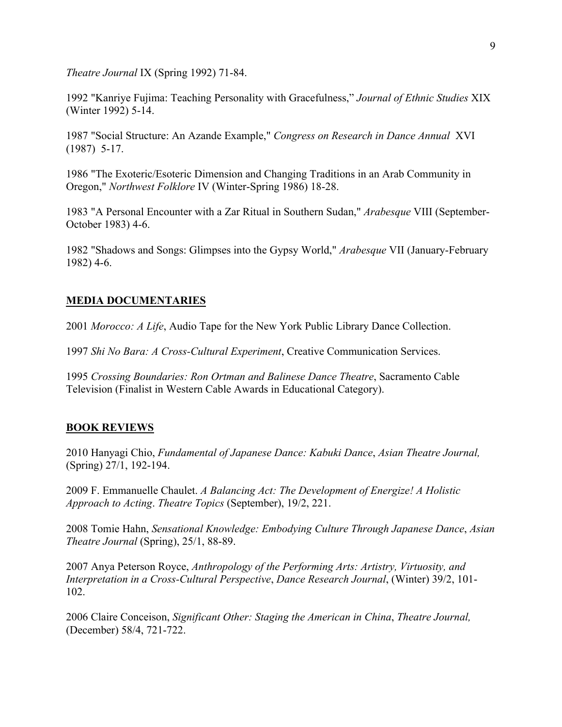*Theatre Journal* IX (Spring 1992) 71-84.

1992 "Kanriye Fujima: Teaching Personality with Gracefulness," *Journal of Ethnic Studies* XIX (Winter 1992) 5-14.

1987 "Social Structure: An Azande Example," *Congress on Research in Dance Annual* XVI (1987) 5-17.

1986 "The Exoteric/Esoteric Dimension and Changing Traditions in an Arab Community in Oregon," *Northwest Folklore* IV (Winter-Spring 1986) 18-28.

1983 "A Personal Encounter with a Zar Ritual in Southern Sudan," *Arabesque* VIII (September-October 1983) 4-6.

1982 "Shadows and Songs: Glimpses into the Gypsy World," *Arabesque* VII (January-February 1982) 4-6.

### **MEDIA DOCUMENTARIES**

2001 *Morocco: A Life*, Audio Tape for the New York Public Library Dance Collection.

1997 *Shi No Bara: A Cross-Cultural Experiment*, Creative Communication Services.

1995 *Crossing Boundaries: Ron Ortman and Balinese Dance Theatre*, Sacramento Cable Television (Finalist in Western Cable Awards in Educational Category).

# **BOOK REVIEWS**

2010 Hanyagi Chio, *Fundamental of Japanese Dance: Kabuki Dance*, *Asian Theatre Journal,*  (Spring) 27/1, 192-194.

2009 F. Emmanuelle Chaulet. *A Balancing Act: The Development of Energize! A Holistic Approach to Acting*. *Theatre Topics* (September), 19/2, 221.

2008 Tomie Hahn, *Sensational Knowledge: Embodying Culture Through Japanese Dance*, *Asian Theatre Journal* (Spring), 25/1, 88-89.

2007 Anya Peterson Royce, *Anthropology of the Performing Arts: Artistry, Virtuosity, and Interpretation in a Cross-Cultural Perspective*, *Dance Research Journal*, (Winter) 39/2, 101- 102.

2006 Claire Conceison, *Significant Other: Staging the American in China*, *Theatre Journal,*  (December) 58/4, 721-722.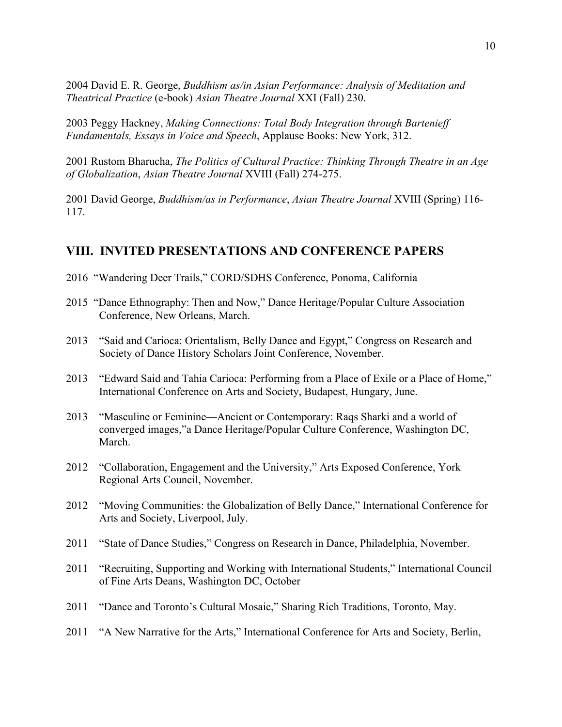2004 David E. R. George, *Buddhism as/in Asian Performance: Analysis of Meditation and Theatrical Practice* (e-book) *Asian Theatre Journal* XXI (Fall) 230.

2003 Peggy Hackney, *Making Connections: Total Body Integration through Bartenieff Fundamentals, Essays in Voice and Speech*, Applause Books: New York, 312.

2001 Rustom Bharucha, *The Politics of Cultural Practice: Thinking Through Theatre in an Age of Globalization*, *Asian Theatre Journal* XVIII (Fall) 274-275.

2001 David George, *Buddhism/as in Performance*, *Asian Theatre Journal* XVIII (Spring) 116- 117.

# **VIII. INVITED PRESENTATIONS AND CONFERENCE PAPERS**

- 2016 "Wandering Deer Trails," CORD/SDHS Conference, Ponoma, California
- 2015 "Dance Ethnography: Then and Now," Dance Heritage/Popular Culture Association Conference, New Orleans, March.
- 2013 "Said and Carioca: Orientalism, Belly Dance and Egypt," Congress on Research and Society of Dance History Scholars Joint Conference, November.
- 2013 "Edward Said and Tahia Carioca: Performing from a Place of Exile or a Place of Home," International Conference on Arts and Society, Budapest, Hungary, June.
- 2013 "Masculine or Feminine—Ancient or Contemporary: Raqs Sharki and a world of converged images,"a Dance Heritage/Popular Culture Conference, Washington DC, March.
- 2012 "Collaboration, Engagement and the University," Arts Exposed Conference, York Regional Arts Council, November.
- 2012 "Moving Communities: the Globalization of Belly Dance," International Conference for Arts and Society, Liverpool, July.
- 2011 "State of Dance Studies," Congress on Research in Dance, Philadelphia, November.
- 2011 "Recruiting, Supporting and Working with International Students," International Council of Fine Arts Deans, Washington DC, October
- 2011 "Dance and Toronto's Cultural Mosaic," Sharing Rich Traditions, Toronto, May.
- 2011 "A New Narrative for the Arts," International Conference for Arts and Society, Berlin,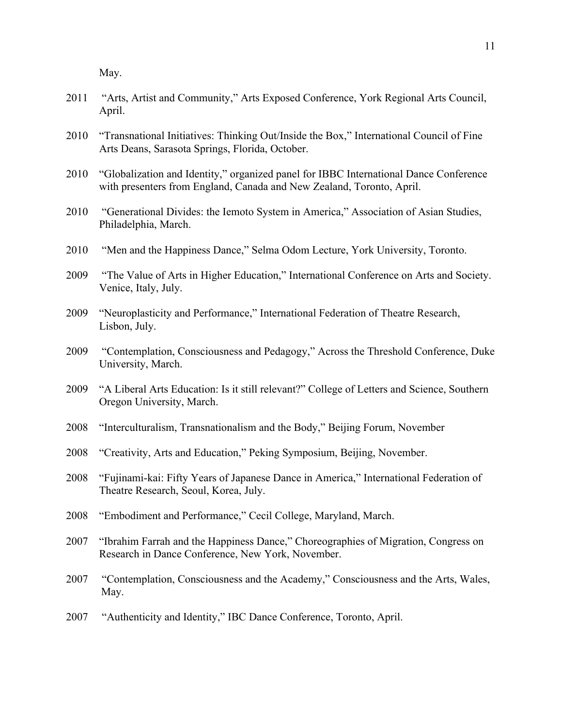May.

- 2011 "Arts, Artist and Community," Arts Exposed Conference, York Regional Arts Council, April.
- 2010 "Transnational Initiatives: Thinking Out/Inside the Box," International Council of Fine Arts Deans, Sarasota Springs, Florida, October.
- 2010 "Globalization and Identity," organized panel for IBBC International Dance Conference with presenters from England, Canada and New Zealand, Toronto, April.
- 2010 "Generational Divides: the Iemoto System in America," Association of Asian Studies, Philadelphia, March.
- 2010 "Men and the Happiness Dance," Selma Odom Lecture, York University, Toronto.
- 2009 "The Value of Arts in Higher Education," International Conference on Arts and Society. Venice, Italy, July.
- 2009 "Neuroplasticity and Performance," International Federation of Theatre Research, Lisbon, July.
- 2009 "Contemplation, Consciousness and Pedagogy," Across the Threshold Conference, Duke University, March.
- 2009 "A Liberal Arts Education: Is it still relevant?" College of Letters and Science, Southern Oregon University, March.
- 2008 "Interculturalism, Transnationalism and the Body," Beijing Forum, November
- 2008 "Creativity, Arts and Education," Peking Symposium, Beijing, November.
- 2008 "Fujinami-kai: Fifty Years of Japanese Dance in America," International Federation of Theatre Research, Seoul, Korea, July.
- 2008 "Embodiment and Performance," Cecil College, Maryland, March.
- 2007 "Ibrahim Farrah and the Happiness Dance," Choreographies of Migration, Congress on Research in Dance Conference, New York, November.
- 2007 "Contemplation, Consciousness and the Academy," Consciousness and the Arts, Wales, May.
- 2007 "Authenticity and Identity," IBC Dance Conference, Toronto, April.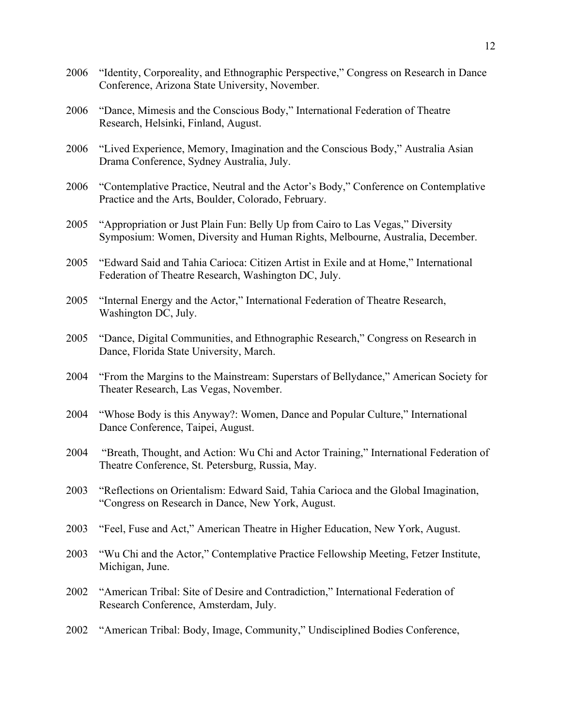2006 "Identity, Corporeality, and Ethnographic Perspective," Congress on Research in Dance Conference, Arizona State University, November. 2006 "Dance, Mimesis and the Conscious Body," International Federation of Theatre Research, Helsinki, Finland, August. 2006 "Lived Experience, Memory, Imagination and the Conscious Body," Australia Asian Drama Conference, Sydney Australia, July. 2006 "Contemplative Practice, Neutral and the Actor's Body," Conference on Contemplative Practice and the Arts, Boulder, Colorado, February. 2005 "Appropriation or Just Plain Fun: Belly Up from Cairo to Las Vegas," Diversity Symposium: Women, Diversity and Human Rights, Melbourne, Australia, December. 2005 "Edward Said and Tahia Carioca: Citizen Artist in Exile and at Home," International Federation of Theatre Research, Washington DC, July. 2005 "Internal Energy and the Actor," International Federation of Theatre Research, Washington DC, July. 2005 "Dance, Digital Communities, and Ethnographic Research," Congress on Research in Dance, Florida State University, March. 2004 "From the Margins to the Mainstream: Superstars of Bellydance," American Society for Theater Research, Las Vegas, November. 2004 "Whose Body is this Anyway?: Women, Dance and Popular Culture," International Dance Conference, Taipei, August. 2004 "Breath, Thought, and Action: Wu Chi and Actor Training," International Federation of Theatre Conference, St. Petersburg, Russia, May. 2003 "Reflections on Orientalism: Edward Said, Tahia Carioca and the Global Imagination, "Congress on Research in Dance, New York, August. 2003 "Feel, Fuse and Act," American Theatre in Higher Education, New York, August. 2003 "Wu Chi and the Actor," Contemplative Practice Fellowship Meeting, Fetzer Institute, Michigan, June. 2002 "American Tribal: Site of Desire and Contradiction," International Federation of Research Conference, Amsterdam, July. 2002 "American Tribal: Body, Image, Community," Undisciplined Bodies Conference,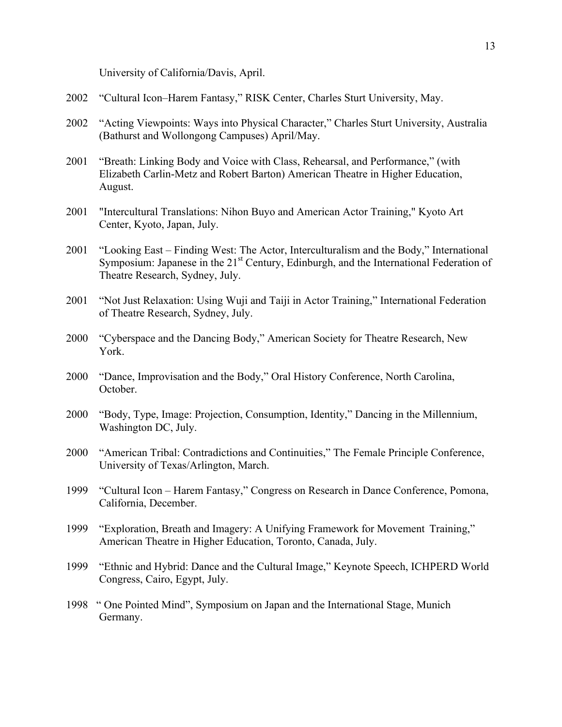University of California/Davis, April.

- 2002 "Cultural Icon–Harem Fantasy," RISK Center, Charles Sturt University, May.
- 2002 "Acting Viewpoints: Ways into Physical Character," Charles Sturt University, Australia (Bathurst and Wollongong Campuses) April/May.
- 2001 "Breath: Linking Body and Voice with Class, Rehearsal, and Performance," (with Elizabeth Carlin-Metz and Robert Barton) American Theatre in Higher Education, August.
- 2001 "Intercultural Translations: Nihon Buyo and American Actor Training," Kyoto Art Center, Kyoto, Japan, July.
- 2001 "Looking East Finding West: The Actor, Interculturalism and the Body," International Symposium: Japanese in the 21<sup>st</sup> Century, Edinburgh, and the International Federation of Theatre Research, Sydney, July.
- 2001 "Not Just Relaxation: Using Wuji and Taiji in Actor Training," International Federation of Theatre Research, Sydney, July.
- 2000 "Cyberspace and the Dancing Body," American Society for Theatre Research, New York.
- 2000 "Dance, Improvisation and the Body," Oral History Conference, North Carolina, October.
- 2000 "Body, Type, Image: Projection, Consumption, Identity," Dancing in the Millennium, Washington DC, July.
- 2000 "American Tribal: Contradictions and Continuities," The Female Principle Conference, University of Texas/Arlington, March.
- 1999 "Cultural Icon Harem Fantasy," Congress on Research in Dance Conference, Pomona, California, December.
- 1999 "Exploration, Breath and Imagery: A Unifying Framework for Movement Training," American Theatre in Higher Education, Toronto, Canada, July.
- 1999 "Ethnic and Hybrid: Dance and the Cultural Image," Keynote Speech, ICHPERD World Congress, Cairo, Egypt, July.
- 1998 " One Pointed Mind", Symposium on Japan and the International Stage, Munich Germany.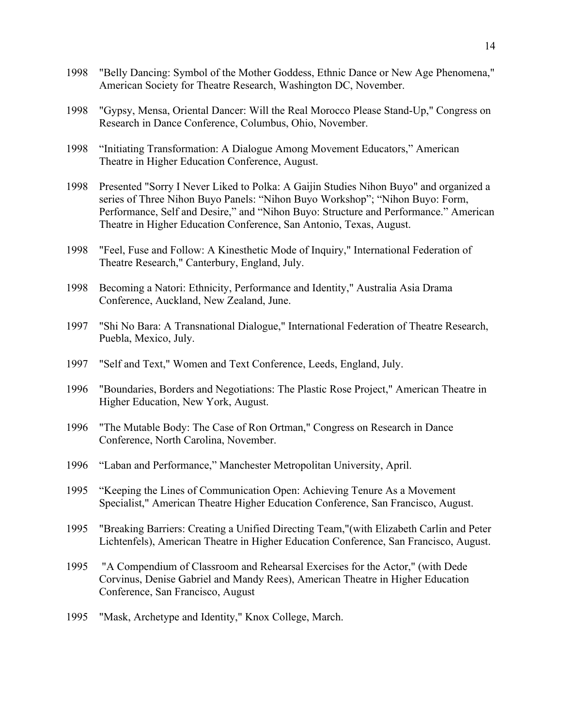- 1998 "Belly Dancing: Symbol of the Mother Goddess, Ethnic Dance or New Age Phenomena," American Society for Theatre Research, Washington DC, November.
- 1998 "Gypsy, Mensa, Oriental Dancer: Will the Real Morocco Please Stand-Up," Congress on Research in Dance Conference, Columbus, Ohio, November.
- 1998 "Initiating Transformation: A Dialogue Among Movement Educators," American Theatre in Higher Education Conference, August.
- 1998 Presented "Sorry I Never Liked to Polka: A Gaijin Studies Nihon Buyo" and organized a series of Three Nihon Buyo Panels: "Nihon Buyo Workshop"; "Nihon Buyo: Form, Performance, Self and Desire," and "Nihon Buyo: Structure and Performance." American Theatre in Higher Education Conference, San Antonio, Texas, August.
- 1998 "Feel, Fuse and Follow: A Kinesthetic Mode of Inquiry," International Federation of Theatre Research," Canterbury, England, July.
- 1998 Becoming a Natori: Ethnicity, Performance and Identity," Australia Asia Drama Conference, Auckland, New Zealand, June.
- 1997 "Shi No Bara: A Transnational Dialogue," International Federation of Theatre Research, Puebla, Mexico, July.
- 1997 "Self and Text," Women and Text Conference, Leeds, England, July.
- 1996 "Boundaries, Borders and Negotiations: The Plastic Rose Project," American Theatre in Higher Education, New York, August.
- 1996 "The Mutable Body: The Case of Ron Ortman," Congress on Research in Dance Conference, North Carolina, November.
- 1996 "Laban and Performance," Manchester Metropolitan University, April.
- 1995 "Keeping the Lines of Communication Open: Achieving Tenure As a Movement Specialist," American Theatre Higher Education Conference, San Francisco, August.
- 1995 "Breaking Barriers: Creating a Unified Directing Team,"(with Elizabeth Carlin and Peter Lichtenfels), American Theatre in Higher Education Conference, San Francisco, August.
- 1995 "A Compendium of Classroom and Rehearsal Exercises for the Actor," (with Dede Corvinus, Denise Gabriel and Mandy Rees), American Theatre in Higher Education Conference, San Francisco, August
- 1995 "Mask, Archetype and Identity," Knox College, March.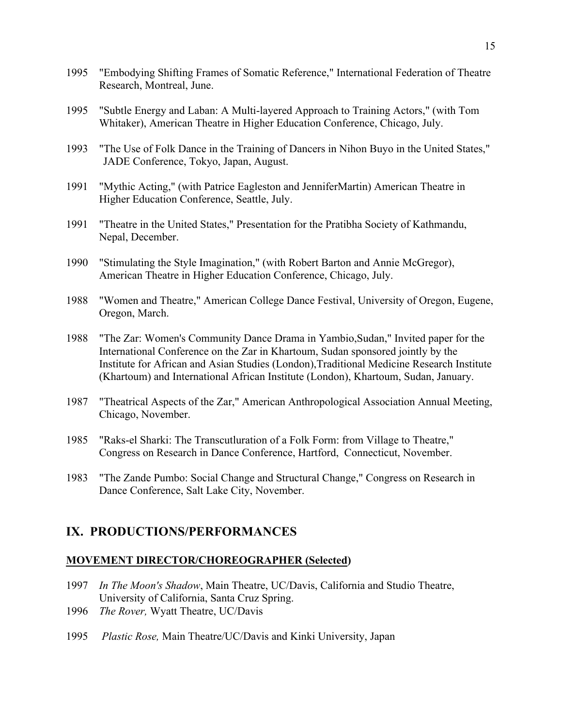- 1995 "Embodying Shifting Frames of Somatic Reference," International Federation of Theatre Research, Montreal, June.
- 1995 "Subtle Energy and Laban: A Multi-layered Approach to Training Actors," (with Tom Whitaker), American Theatre in Higher Education Conference, Chicago, July.
- 1993 "The Use of Folk Dance in the Training of Dancers in Nihon Buyo in the United States," JADE Conference, Tokyo, Japan, August.
- 1991 "Mythic Acting," (with Patrice Eagleston and JenniferMartin) American Theatre in Higher Education Conference, Seattle, July.
- 1991 "Theatre in the United States," Presentation for the Pratibha Society of Kathmandu, Nepal, December.
- 1990 "Stimulating the Style Imagination," (with Robert Barton and Annie McGregor), American Theatre in Higher Education Conference, Chicago, July.
- 1988 "Women and Theatre," American College Dance Festival, University of Oregon, Eugene, Oregon, March.
- 1988 "The Zar: Women's Community Dance Drama in Yambio,Sudan," Invited paper for the International Conference on the Zar in Khartoum, Sudan sponsored jointly by the Institute for African and Asian Studies (London),Traditional Medicine Research Institute (Khartoum) and International African Institute (London), Khartoum, Sudan, January.
- 1987 "Theatrical Aspects of the Zar," American Anthropological Association Annual Meeting, Chicago, November.
- 1985 "Raks-el Sharki: The Transcutluration of a Folk Form: from Village to Theatre," Congress on Research in Dance Conference, Hartford, Connecticut, November.
- 1983 "The Zande Pumbo: Social Change and Structural Change," Congress on Research in Dance Conference, Salt Lake City, November.

# **IX. PRODUCTIONS/PERFORMANCES**

### **MOVEMENT DIRECTOR/CHOREOGRAPHER (Selected)**

- 1997 *In The Moon's Shadow*, Main Theatre, UC/Davis, California and Studio Theatre, University of California, Santa Cruz Spring.
- 1996 *The Rover,* Wyatt Theatre, UC/Davis
- 1995 *Plastic Rose,* Main Theatre/UC/Davis and Kinki University, Japan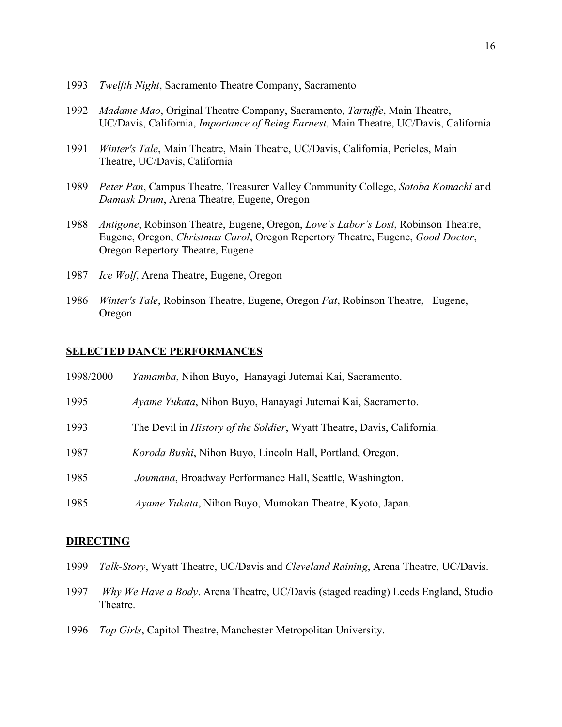- *Twelfth Night*, Sacramento Theatre Company, Sacramento
- *Madame Mao*, Original Theatre Company, Sacramento, *Tartuffe*, Main Theatre, UC/Davis, California, *Importance of Being Earnest*, Main Theatre, UC/Davis, California
- *Winter's Tale*, Main Theatre, Main Theatre, UC/Davis, California, Pericles, Main Theatre, UC/Davis, California
- *Peter Pan*, Campus Theatre, Treasurer Valley Community College, *Sotoba Komachi* and *Damask Drum*, Arena Theatre, Eugene, Oregon
- *Antigone*, Robinson Theatre, Eugene, Oregon, *Love's Labor's Lost*, Robinson Theatre, Eugene, Oregon, *Christmas Carol*, Oregon Repertory Theatre, Eugene, *Good Doctor*, Oregon Repertory Theatre, Eugene
- *Ice Wolf*, Arena Theatre, Eugene, Oregon
- *Winter's Tale*, Robinson Theatre, Eugene, Oregon *Fat*, Robinson Theatre, Eugene, Oregon

#### **SELECTED DANCE PERFORMANCES**

| 1998/2000 | <i>Yamamba</i> , Nihon Buyo, Hanayagi Jutemai Kai, Sacramento.                 |
|-----------|--------------------------------------------------------------------------------|
| 1995      | Ayame Yukata, Nihon Buyo, Hanayagi Jutemai Kai, Sacramento.                    |
| 1993      | The Devil in <i>History of the Soldier</i> , Wyatt Theatre, Davis, California. |
| 1987      | Koroda Bushi, Nihon Buyo, Lincoln Hall, Portland, Oregon.                      |
| 1985      | Joumana, Broadway Performance Hall, Seattle, Washington.                       |
| 1985      | Ayame Yukata, Nihon Buyo, Mumokan Theatre, Kyoto, Japan.                       |

#### **DIRECTING**

- *Talk-Story*, Wyatt Theatre, UC/Davis and *Cleveland Raining*, Arena Theatre, UC/Davis.
- *Why We Have a Body*. Arena Theatre, UC/Davis (staged reading) Leeds England, Studio Theatre.
- *Top Girls*, Capitol Theatre, Manchester Metropolitan University.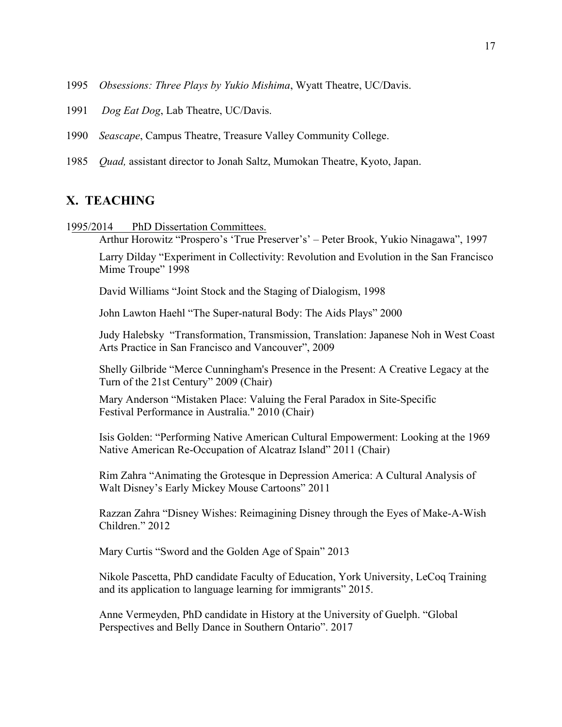- 1995 *Obsessions: Three Plays by Yukio Mishima*, Wyatt Theatre, UC/Davis.
- 1991 *Dog Eat Dog*, Lab Theatre, UC/Davis.
- 1990 *Seascape*, Campus Theatre, Treasure Valley Community College.
- 1985 *Quad,* assistant director to Jonah Saltz, Mumokan Theatre, Kyoto, Japan.

### **X. TEACHING**

- 1995/2014 PhD Dissertation Committees.
	- Arthur Horowitz "Prospero's 'True Preserver's' Peter Brook, Yukio Ninagawa", 1997

Larry Dilday "Experiment in Collectivity: Revolution and Evolution in the San Francisco Mime Troupe" 1998

David Williams "Joint Stock and the Staging of Dialogism, 1998

John Lawton Haehl "The Super-natural Body: The Aids Plays" 2000

Judy Halebsky "Transformation, Transmission, Translation: Japanese Noh in West Coast Arts Practice in San Francisco and Vancouver", 2009

Shelly Gilbride "Merce Cunningham's Presence in the Present: A Creative Legacy at the Turn of the 21st Century" 2009 (Chair)

Mary Anderson "Mistaken Place: Valuing the Feral Paradox in Site-Specific Festival Performance in Australia." 2010 (Chair)

Isis Golden: "Performing Native American Cultural Empowerment: Looking at the 1969 Native American Re-Occupation of Alcatraz Island" 2011 (Chair)

Rim Zahra "Animating the Grotesque in Depression America: A Cultural Analysis of Walt Disney's Early Mickey Mouse Cartoons" 2011

Razzan Zahra "Disney Wishes: Reimagining Disney through the Eyes of Make-A-Wish Children." 2012

Mary Curtis "Sword and the Golden Age of Spain" 2013

Nikole Pascetta, PhD candidate Faculty of Education, York University, LeCoq Training and its application to language learning for immigrants" 2015.

Anne Vermeyden, PhD candidate in History at the University of Guelph. "Global Perspectives and Belly Dance in Southern Ontario". 2017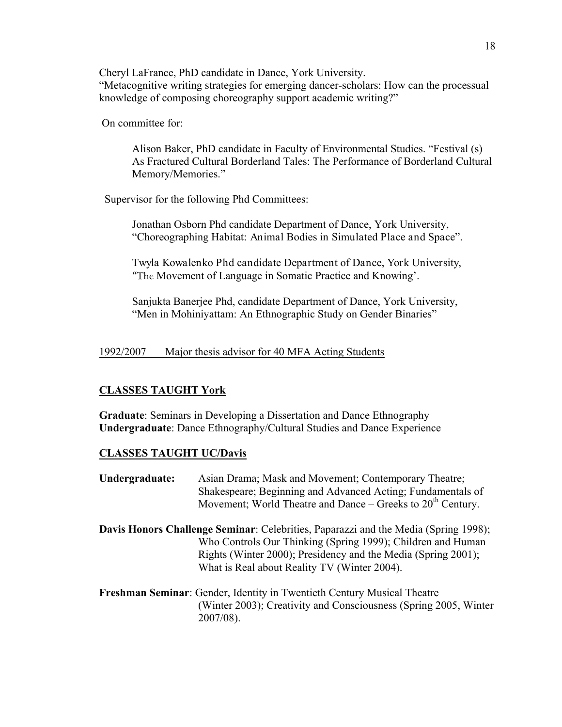Cheryl LaFrance, PhD candidate in Dance, York University. "Metacognitive writing strategies for emerging dancer-scholars: How can the processual knowledge of composing choreography support academic writing?"

On committee for:

Alison Baker, PhD candidate in Faculty of Environmental Studies. "Festival (s) As Fractured Cultural Borderland Tales: The Performance of Borderland Cultural Memory/Memories."

Supervisor for the following Phd Committees:

Jonathan Osborn Phd candidate Department of Dance, York University, "Choreographing Habitat: Animal Bodies in Simulated Place and Space".

Twyla Kowalenko Phd candidate Department of Dance, York University, "The Movement of Language in Somatic Practice and Knowing'.

Sanjukta Banerjee Phd, candidate Department of Dance, York University, "Men in Mohiniyattam: An Ethnographic Study on Gender Binaries"

1992/2007 Major thesis advisor for 40 MFA Acting Students

### **CLASSES TAUGHT York**

**Graduate**: Seminars in Developing a Dissertation and Dance Ethnography **Undergraduate**: Dance Ethnography/Cultural Studies and Dance Experience

### **CLASSES TAUGHT UC/Davis**

**Undergraduate:** Asian Drama; Mask and Movement; Contemporary Theatre; Shakespeare; Beginning and Advanced Acting; Fundamentals of Movement; World Theatre and Dance – Greeks to  $20<sup>th</sup>$  Century.

- **Davis Honors Challenge Seminar**: Celebrities, Paparazzi and the Media (Spring 1998); Who Controls Our Thinking (Spring 1999); Children and Human Rights (Winter 2000); Presidency and the Media (Spring 2001); What is Real about Reality TV (Winter 2004).
- **Freshman Seminar**: Gender, Identity in Twentieth Century Musical Theatre (Winter 2003); Creativity and Consciousness (Spring 2005, Winter 2007/08).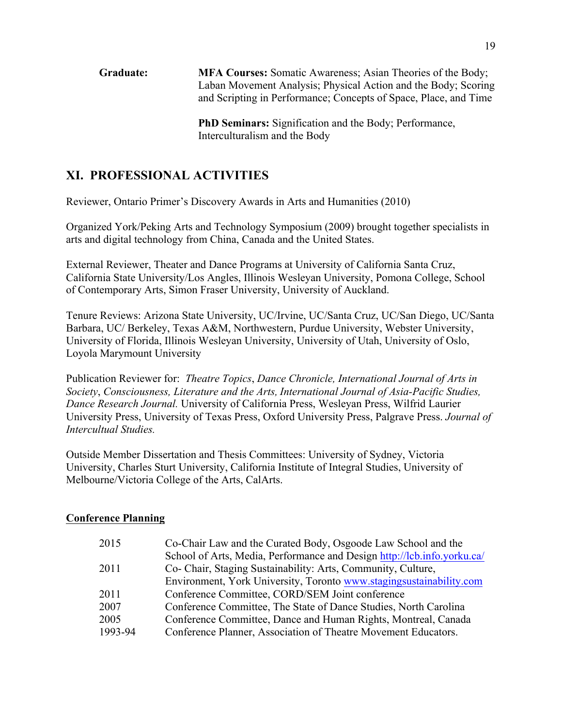**Graduate: MFA Courses:** Somatic Awareness; Asian Theories of the Body; Laban Movement Analysis; Physical Action and the Body; Scoring and Scripting in Performance; Concepts of Space, Place, and Time

> **PhD Seminars:** Signification and the Body; Performance, Interculturalism and the Body

# **XI. PROFESSIONAL ACTIVITIES**

Reviewer, Ontario Primer's Discovery Awards in Arts and Humanities (2010)

Organized York/Peking Arts and Technology Symposium (2009) brought together specialists in arts and digital technology from China, Canada and the United States.

External Reviewer, Theater and Dance Programs at University of California Santa Cruz, California State University/Los Angles, Illinois Wesleyan University, Pomona College, School of Contemporary Arts, Simon Fraser University, University of Auckland.

Tenure Reviews: Arizona State University, UC/Irvine, UC/Santa Cruz, UC/San Diego, UC/Santa Barbara, UC/ Berkeley, Texas A&M, Northwestern, Purdue University, Webster University, University of Florida, Illinois Wesleyan University, University of Utah, University of Oslo, Loyola Marymount University

Publication Reviewer for: *Theatre Topics*, *Dance Chronicle, International Journal of Arts in Society*, *Consciousness, Literature and the Arts, International Journal of Asia-Pacific Studies, Dance Research Journal.* University of California Press, Wesleyan Press, Wilfrid Laurier University Press, University of Texas Press, Oxford University Press, Palgrave Press. *Journal of Intercultual Studies.*

Outside Member Dissertation and Thesis Committees: University of Sydney, Victoria University, Charles Sturt University, California Institute of Integral Studies, University of Melbourne/Victoria College of the Arts, CalArts.

### **Conference Planning**

| 2015    | Co-Chair Law and the Curated Body, Osgoode Law School and the           |
|---------|-------------------------------------------------------------------------|
|         | School of Arts, Media, Performance and Design http://lcb.info.yorku.ca/ |
| 2011    | Co- Chair, Staging Sustainability: Arts, Community, Culture,            |
|         | Environment, York University, Toronto www.stagingsustainability.com     |
| 2011    | Conference Committee, CORD/SEM Joint conference                         |
| 2007    | Conference Committee, The State of Dance Studies, North Carolina        |
| 2005    | Conference Committee, Dance and Human Rights, Montreal, Canada          |
| 1993-94 | Conference Planner, Association of Theatre Movement Educators.          |
|         |                                                                         |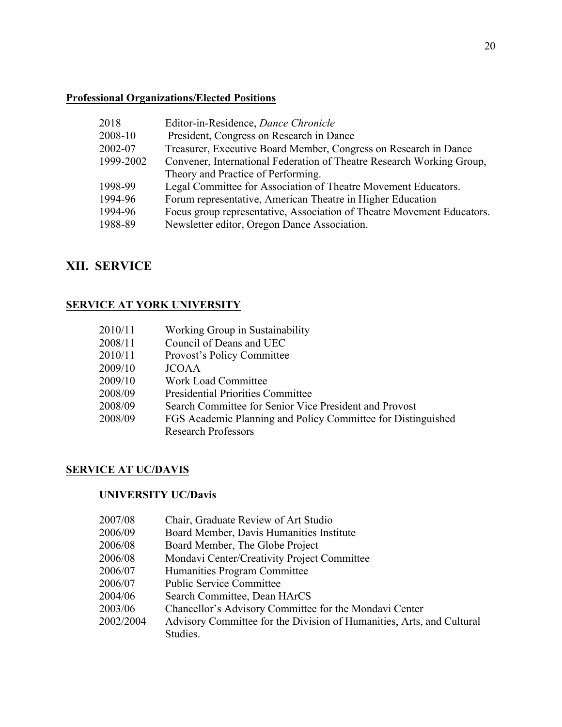# **Professional Organizations/Elected Positions**

| 2018      | Editor-in-Residence, Dance Chronicle                                   |
|-----------|------------------------------------------------------------------------|
| 2008-10   | President, Congress on Research in Dance                               |
| 2002-07   | Treasurer, Executive Board Member, Congress on Research in Dance       |
| 1999-2002 | Convener, International Federation of Theatre Research Working Group,  |
|           | Theory and Practice of Performing.                                     |
| 1998-99   | Legal Committee for Association of Theatre Movement Educators.         |
| 1994-96   | Forum representative, American Theatre in Higher Education             |
| 1994-96   | Focus group representative, Association of Theatre Movement Educators. |
| 1988-89   | Newsletter editor, Oregon Dance Association.                           |
|           |                                                                        |

# **XII. SERVICE**

# **SERVICE AT YORK UNIVERSITY**

| 2010/11 | Working Group in Sustainability                              |
|---------|--------------------------------------------------------------|
| 2008/11 | Council of Deans and UEC                                     |
| 2010/11 | Provost's Policy Committee                                   |
| 2009/10 | <b>JCOAA</b>                                                 |
| 2009/10 | <b>Work Load Committee</b>                                   |
| 2008/09 | <b>Presidential Priorities Committee</b>                     |
| 2008/09 | Search Committee for Senior Vice President and Provost       |
| 2008/09 | FGS Academic Planning and Policy Committee for Distinguished |
|         | <b>Research Professors</b>                                   |
|         |                                                              |

# **SERVICE AT UC/DAVIS**

# **UNIVERSITY UC/Davis**

| 2007/08   | Chair, Graduate Review of Art Studio                                  |
|-----------|-----------------------------------------------------------------------|
| 2006/09   | Board Member, Davis Humanities Institute                              |
| 2006/08   | Board Member, The Globe Project                                       |
| 2006/08   | Mondavi Center/Creativity Project Committee                           |
| 2006/07   | Humanities Program Committee                                          |
| 2006/07   | <b>Public Service Committee</b>                                       |
| 2004/06   | Search Committee, Dean HArCS                                          |
| 2003/06   | Chancellor's Advisory Committee for the Mondavi Center                |
| 2002/2004 | Advisory Committee for the Division of Humanities, Arts, and Cultural |
|           | Studies.                                                              |
|           |                                                                       |